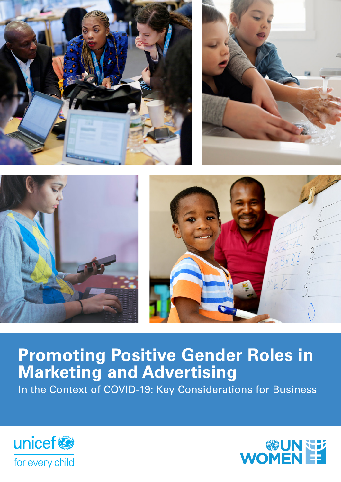

# **Promoting Positive Gender Roles in Marketing and Advertising**

In the Context of COVID-19: Key Considerations for Business



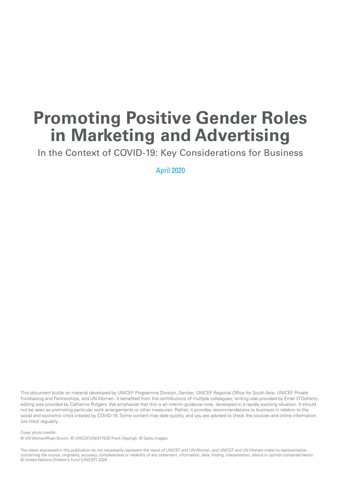## **Promoting Positive Gender Roles in Marketing and Advertising**

In the Context of COVID-19: Key Considerations for Business

April 2020

This document builds on material developed by UNICEF Programme Division, Gender, UNICEF Regional Office for South Asia, UNICEF Private Fundraising and Partnerships, and UN Women. It benefited from the contributions of multiple colleagues; writing was provided by Emer O'Doherty; editing was provided by Catherine Rutgers. We emphasize that this is an interim guidance note, developed in a rapidly evolving situation. It should not be seen as promoting particular work arrangements or other measures. Rather, it provides recommendations to business in relation to the social and economic crisis created by COVID-19. Some content may date quickly, and you are advised to check the sources and online information (via links) regularly.

Cover photo credits:

© UN Women/Ryan Brown, © UNICEF/UNI317535 Frank Dejongh, © Getty Images

The views expressed in this publication do not necessarily represent the views of UNICEF and UN Women, and UNICEF and UN Women make no representation concerning the source, originality, accuracy, completeness or reliability of any statement, information, data, finding, interpretation, advice or opinion contained herein. © United Nations Children's Fund (UNICEF) 2020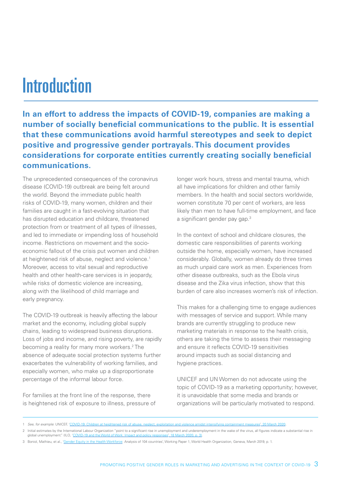# Introduction

**In an effort to address the impacts of COVID-19, companies are making a number of socially beneficial communications to the public. It is essential that these communications avoid harmful stereotypes and seek to depict positive and progressive gender portrayals. This document provides considerations for corporate entities currently creating socially beneficial communications.**

The unprecedented consequences of the coronavirus disease (COVID-19) outbreak are being felt around the world. Beyond the immediate public health risks of COVID-19, many women, children and their families are caught in a fast-evolving situation that has disrupted education and childcare, threatened protection from or treatment of all types of illnesses, and led to immediate or impending loss of household income. Restrictions on movement and the socioeconomic fallout of the crisis put women and children at heightened risk of abuse, neglect and violence.<sup>1</sup> Moreover, access to vital sexual and reproductive health and other health-care services is in jeopardy, while risks of domestic violence are increasing, along with the likelihood of child marriage and early pregnancy.

The COVID-19 outbreak is heavily affecting the labour market and the economy, including global supply chains, leading to widespread business disruptions. Loss of jobs and income, and rising poverty, are rapidly becoming a reality for many more workers.<sup>2</sup> The absence of adequate social protection systems further exacerbates the vulnerability of working families, and especially women, who make up a disproportionate percentage of the informal labour force.

For families at the front line of the response, there is heightened risk of exposure to illness, pressure of longer work hours, stress and mental trauma, which all have implications for children and other family members. In the health and social sectors worldwide, women constitute 70 per cent of workers, are less likely than men to have full-time employment, and face a significant gender pay gap.<sup>3</sup>

In the context of school and childcare closures, the domestic care responsibilities of parents working outside the home, especially women, have increased considerably. Globally, women already do three times as much unpaid care work as men. Experiences from other disease outbreaks, such as the Ebola virus disease and the Zika virus infection, show that this burden of care also increases women's risk of infection.

This makes for a challenging time to engage audiences with messages of service and support. While many brands are currently struggling to produce new marketing materials in response to the health crisis, others are taking the time to assess their messaging and ensure it reflects COVID-19 sensitivities around impacts such as social distancing and hygiene practices.

UNICEF and UN Women do not advocate using the topic of COVID-19 as a marketing opportunity; however, it is unavoidable that some media and brands or organizations will be particularly motivated to respond.

<sup>1</sup> *See, for example*: UNICEF, '[COVID-19: Children at heightened risk of abuse, neglect, exploitation and violence amidst intensifying containment measures](https://www.unicef.org/press-releases/covid-19-children-heightened-risk-abuse-neglect-exploitation-and-violence-amidst)', 20 March 2020.

<sup>2</sup> Initial estimates by the International Labour Organization "point to a significant rise in unemployment and underemployment in the wake of the virus, all figures indicate a substantial rise in global unemployment." (ILO, ['COVID-19 and the World of Work: Impact and policy responses](https://www.ilo.org/wcmsp5/groups/public/---dgreports/---dcomm/documents/briefingnote/wcms_738753.pdf)', 18 March 2020, p. 3).

<sup>3</sup> Boniol, Mathieu, et al., '[Gender Equity in the Health Workforce](https://www.who.int/hrh/resources/gender_equity-health_workforce_analysis/en/): Analysis of 104 countries', Working Paper 1, World Health Organization, Geneva, March 2019, p. 1.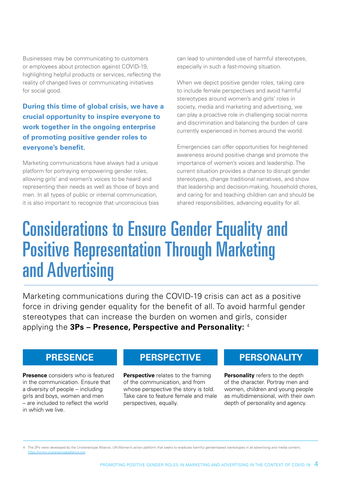Businesses may be communicating to customers or employees about protection against COVID-19, highlighting helpful products or services, reflecting the reality of changed lives or communicating initiatives for social good.

**During this time of global crisis, we have a crucial opportunity to inspire everyone to work together in the ongoing enterprise of promoting positive gender roles to everyone's benefit.**

Marketing communications have always had a unique platform for portraying empowering gender roles, allowing girls' and women's voices to be heard and representing their needs as well as those of boys and men. In all types of public or internal communication, it is also important to recognize that unconscious bias can lead to unintended use of harmful stereotypes, especially in such a fast-moving situation.

When we depict positive gender roles, taking care to include female perspectives and avoid harmful stereotypes around women's and girls' roles in society, media and marketing and advertising, we can play a proactive role in challenging social norms and discrimination and balancing the burden of care currently experienced in homes around the world.

Emergencies can offer opportunities for heightened awareness around positive change and promote the importance of women's voices and leadership. The current situation provides a chance to disrupt gender stereotypes, change traditional narratives, and show that leadership and decision-making, household chores, and caring for and teaching children can and should be shared responsibilities, advancing equality for all.

# Considerations to Ensure Gender Equality and Positive Representation Through Marketing and Advertising

Marketing communications during the COVID-19 crisis can act as a positive force in driving gender equality for the benefit of all. To avoid harmful gender stereotypes that can increase the burden on women and girls, consider applying the **3Ps – Presence, Perspective and Personality:** <sup>4</sup>

**Presence** considers who is featured in the communication. Ensure that a diversity of people – including girls and boys, women and men – are included to reflect the world in which we live.

### **PRESENCE PERSPECTIVE PERSONALITY**

**Perspective** relates to the framing of the communication, and from whose perspective the story is told. Take care to feature female and male perspectives, equally.

**Personality** refers to the depth of the character. Portray men and women, children and young people as multidimensional, with their own depth of personality and agency.

<sup>4</sup> The 3Ps were developed by the Unstereotype Alliance, UN Women's action platform that seeks to eradicate harmful gender-based stereotypes in all advertising and media content, [https://www.unstereotypealliance.org.](https://www.unstereotypealliance.org)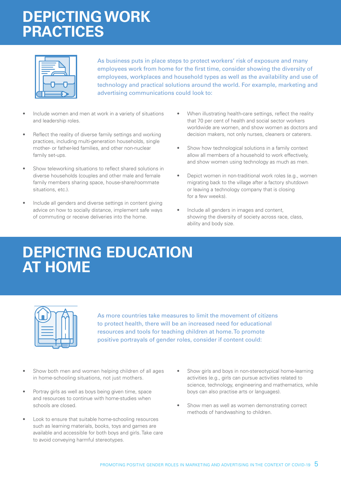## **DEPICTING WORK PRACTICES**



As business puts in place steps to protect workers' risk of exposure and many employees work from home for the first time, consider showing the diversity of employees, workplaces and household types as well as the availability and use of technology and practical solutions around the world. For example, marketing and advertising communications could look to:

- Include women and men at work in a variety of situations and leadership roles.
- Reflect the reality of diverse family settings and working practices, including multi-generation households, single mother- or father-led families, and other non-nuclear family set-ups.
- Show teleworking situations to reflect shared solutions in diverse households (couples and other male and female family members sharing space, house-share/roommate situations, etc.).
- Include all genders and diverse settings in content giving advice on how to socially distance, implement safe ways of commuting or receive deliveries into the home.
- When illustrating health-care settings, reflect the reality that 70 per cent of health and social sector workers worldwide are women, and show women as doctors and decision makers, not only nurses, cleaners or caterers.
- Show how technological solutions in a family context allow all members of a household to work effectively, and show women using technology as much as men.
- Depict women in non-traditional work roles (e.g., women migrating back to the village after a factory shutdown or leaving a technology company that is closing for a few weeks).
- Include all genders in images and content, showing the diversity of society across race, class, ability and body size.

## **DEPICTING EDUCATION AT HOME**

As more countries take measures to limit the movement of citizens to protect health, there will be an increased need for educational resources and tools for teaching children at home. To promote positive portrayals of gender roles, consider if content could:

- Show both men and women helping children of all ages in home-schooling situations, not just mothers.
- Portray girls as well as boys being given time, space and resources to continue with home-studies when schools are closed.
- Look to ensure that suitable home-schooling resources such as learning materials, books, toys and games are available and accessible for both boys and girls. Take care to avoid conveying harmful stereotypes.
- Show girls and boys in non-stereotypical home-learning activities (e.g., girls can pursue activities related to science, technology, engineering and mathematics, while boys can also practise arts or languages).
- Show men as well as women demonstrating correct methods of handwashing to children.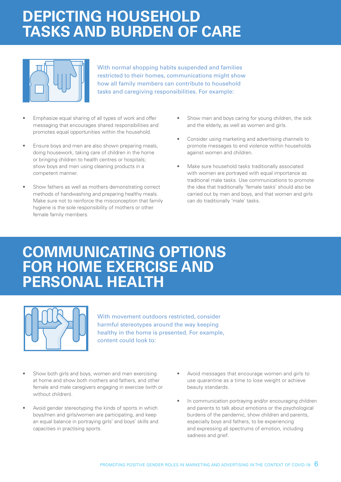## **DEPICTING HOUSEHOLD TASKS AND BURDEN OF CARE**



With normal shopping habits suspended and families restricted to their homes, communications might show how all family members can contribute to household tasks and caregiving responsibilities. For example:

- Emphasize equal sharing of all types of work and offer messaging that encourages shared responsibilities and promotes equal opportunities within the household.
- Ensure boys and men are also shown preparing meals, doing housework, taking care of children in the home or bringing children to health centres or hospitals; show boys and men using cleaning products in a competent manner.
- Show fathers as well as mothers demonstrating correct methods of handwashing and preparing healthy meals. Make sure not to reinforce the misconception that family hygiene is the sole responsibility of mothers or other female family members.
- Show men and boys caring for young children, the sick and the elderly, as well as women and girls.
- Consider using marketing and advertising channels to promote messages to end violence within households against women and children.
- Make sure household tasks traditionally associated with women are portrayed with equal importance as traditional male tasks. Use communications to promote the idea that traditionally 'female tasks' should also be carried out by men and boys, and that women and girls can do traditionally 'male' tasks.

### **COMMUNICATING OPTIONS FOR HOME EXERCISE AND PERSONAL HEALTH**



With movement outdoors restricted, consider harmful stereotypes around the way keeping healthy in the home is presented. For example, content could look to:

- Show both girls and boys, women and men exercising at home and show both mothers and fathers, and other female and male caregivers engaging in exercise (with or without children).
- Avoid gender stereotyping the kinds of sports in which boys/men and girls/women are participating, and keep an equal balance in portraying girls' and boys' skills and capacities in practising sports.
- Avoid messages that encourage women and girls to use quarantine as a time to lose weight or achieve beauty standards.
- In communication portraying and/or encouraging children and parents to talk about emotions or the psychological burdens of the pandemic, show children and parents, especially boys and fathers, to be experiencing and expressing all spectrums of emotion, including sadness and grief.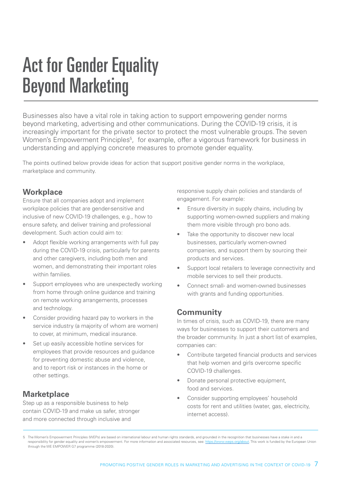# Act for Gender Equality Beyond Marketing

Businesses also have a vital role in taking action to support empowering gender norms beyond marketing, advertising and other communications. During the COVID-19 crisis, it is increasingly important for the private sector to protect the most vulnerable groups. The seven Women's Empowerment Principles<sup>5</sup>, for example, offer a vigorous framework for business in understanding and applying concrete measures to promote gender equality.

The points outlined below provide ideas for action that support positive gender norms in the workplace, marketplace and community.

#### **Workplace**

Ensure that all companies adopt and implement workplace policies that are gender-sensitive and inclusive of new COVID-19 challenges, e.g., how to ensure safety, and deliver training and professional development. Such action could aim to:

- Adopt flexible working arrangements with full pay during the COVID-19 crisis, particularly for parents and other caregivers, including both men and women, and demonstrating their important roles within families.
- Support employees who are unexpectedly working from home through online guidance and training on remote working arrangements, processes and technology.
- Consider providing hazard pay to workers in the service industry (a majority of whom are women) to cover, at minimum, medical insurance.
- Set up easily accessible hotline services for employees that provide resources and guidance for preventing domestic abuse and violence, and to report risk or instances in the home or other settings.

#### **Marketplace**

Step up as a responsible business to help contain COVID-19 and make us safer, stronger and more connected through inclusive and

responsive supply chain policies and standards of engagement. For example:

- Ensure diversity in supply chains, including by supporting women-owned suppliers and making them more visible through pro bono ads.
- Take the opportunity to discover new local businesses, particularly women-owned companies, and support them by sourcing their products and services.
- Support local retailers to leverage connectivity and mobile services to sell their products.
- Connect small- and women-owned businesses with grants and funding opportunities.

#### **Community**

In times of crisis, such as COVID-19, there are many ways for businesses to support their customers and the broader community. In just a short list of examples, companies can:

- Contribute targeted financial products and services that help women and girls overcome specific COVID-19 challenges.
- Donate personal protective equipment, food and services.
- Consider supporting employees' household costs for rent and utilities (water, gas, electricity, internet access).

<sup>5</sup> The Women's Empowerment Principles (WEPs) are based on international labour and human rights standards, and grounded in the recognition that businesses have a stake in and a<br>responsibility for gender equality and women's responsibility for gender equality and women's empowerment. For more information and associated resources, see: https:// through the WE EMPOWER G7 programme (2018-2020).